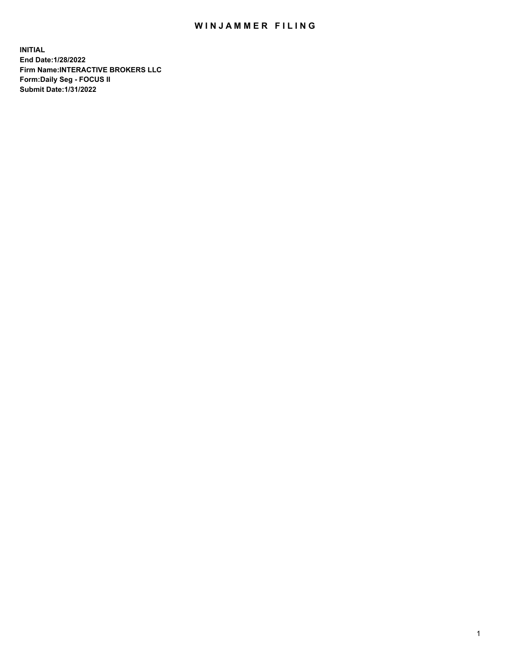## WIN JAMMER FILING

**INITIAL End Date:1/28/2022 Firm Name:INTERACTIVE BROKERS LLC Form:Daily Seg - FOCUS II Submit Date:1/31/2022**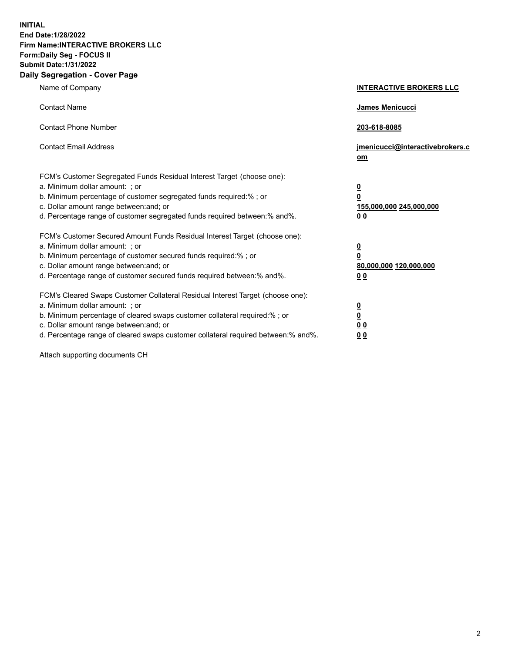**INITIAL End Date:1/28/2022 Firm Name:INTERACTIVE BROKERS LLC Form:Daily Seg - FOCUS II Submit Date:1/31/2022 Daily Segregation - Cover Page**

| Name of Company                                                                                                                                                                                                                                                                                                                | <b>INTERACTIVE BROKERS LLC</b>                                                   |
|--------------------------------------------------------------------------------------------------------------------------------------------------------------------------------------------------------------------------------------------------------------------------------------------------------------------------------|----------------------------------------------------------------------------------|
| <b>Contact Name</b>                                                                                                                                                                                                                                                                                                            | James Menicucci                                                                  |
| <b>Contact Phone Number</b>                                                                                                                                                                                                                                                                                                    | 203-618-8085                                                                     |
| <b>Contact Email Address</b>                                                                                                                                                                                                                                                                                                   | jmenicucci@interactivebrokers.c<br>om                                            |
| FCM's Customer Segregated Funds Residual Interest Target (choose one):<br>a. Minimum dollar amount: ; or<br>b. Minimum percentage of customer segregated funds required:% ; or<br>c. Dollar amount range between: and; or<br>d. Percentage range of customer segregated funds required between: % and %.                       | <u>0</u><br>$\overline{\mathbf{0}}$<br>155,000,000 245,000,000<br>0 <sub>0</sub> |
| FCM's Customer Secured Amount Funds Residual Interest Target (choose one):<br>a. Minimum dollar amount: ; or<br>b. Minimum percentage of customer secured funds required:% ; or<br>c. Dollar amount range between: and; or<br>d. Percentage range of customer secured funds required between:% and%.                           | <u>0</u><br>$\overline{\mathbf{0}}$<br>80,000,000 120,000,000<br>00              |
| FCM's Cleared Swaps Customer Collateral Residual Interest Target (choose one):<br>a. Minimum dollar amount: ; or<br>b. Minimum percentage of cleared swaps customer collateral required:% ; or<br>c. Dollar amount range between: and; or<br>d. Percentage range of cleared swaps customer collateral required between:% and%. | <u>0</u><br>$\underline{\mathbf{0}}$<br>0 <sub>0</sub><br>0 <sub>0</sub>         |

Attach supporting documents CH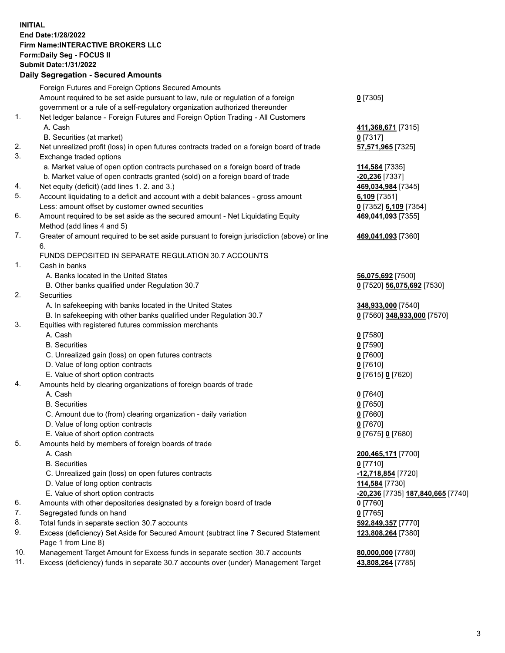**INITIAL End Date:1/28/2022 Firm Name:INTERACTIVE BROKERS LLC Form:Daily Seg - FOCUS II Submit Date:1/31/2022 Daily Segregation - Secured Amounts**

|                | Dany Ocgregation - Occarea Anioante                                                               |                                          |
|----------------|---------------------------------------------------------------------------------------------------|------------------------------------------|
|                | Foreign Futures and Foreign Options Secured Amounts                                               |                                          |
|                | Amount required to be set aside pursuant to law, rule or regulation of a foreign                  | $0$ [7305]                               |
|                | government or a rule of a self-regulatory organization authorized thereunder                      |                                          |
| 1.             | Net ledger balance - Foreign Futures and Foreign Option Trading - All Customers                   |                                          |
|                | A. Cash                                                                                           | 411,368,671 [7315]                       |
|                | B. Securities (at market)                                                                         | $0$ [7317]                               |
| 2.             | Net unrealized profit (loss) in open futures contracts traded on a foreign board of trade         | 57,571,965 [7325]                        |
| 3.             | Exchange traded options                                                                           |                                          |
|                | a. Market value of open option contracts purchased on a foreign board of trade                    | 114,584 [7335]                           |
|                | b. Market value of open contracts granted (sold) on a foreign board of trade                      | $-20,236$ [7337]                         |
| 4.             | Net equity (deficit) (add lines 1. 2. and 3.)                                                     | 469,034,984 [7345]                       |
| 5.             | Account liquidating to a deficit and account with a debit balances - gross amount                 | $6,109$ [7351]                           |
|                | Less: amount offset by customer owned securities                                                  | 0 [7352] 6,109 [7354]                    |
| 6.             | Amount required to be set aside as the secured amount - Net Liquidating Equity                    | 469,041,093 [7355]                       |
|                | Method (add lines 4 and 5)                                                                        |                                          |
| 7.             | Greater of amount required to be set aside pursuant to foreign jurisdiction (above) or line<br>6. | 469,041,093 [7360]                       |
|                | FUNDS DEPOSITED IN SEPARATE REGULATION 30.7 ACCOUNTS                                              |                                          |
| $\mathbf{1}$ . | Cash in banks                                                                                     |                                          |
|                | A. Banks located in the United States                                                             | 56,075,692 [7500]                        |
|                | B. Other banks qualified under Regulation 30.7                                                    | 0 [7520] 56,075,692 [7530]               |
| 2.             | Securities                                                                                        |                                          |
|                | A. In safekeeping with banks located in the United States                                         | 348,933,000 [7540]                       |
|                | B. In safekeeping with other banks qualified under Regulation 30.7                                | 0 [7560] 348,933,000 [7570]              |
| 3.             | Equities with registered futures commission merchants                                             |                                          |
|                | A. Cash                                                                                           | $0$ [7580]                               |
|                | <b>B.</b> Securities                                                                              | $0$ [7590]                               |
|                | C. Unrealized gain (loss) on open futures contracts                                               | $0$ [7600]                               |
|                | D. Value of long option contracts                                                                 | $0$ [7610]                               |
|                | E. Value of short option contracts                                                                | 0 [7615] 0 [7620]                        |
| 4.             | Amounts held by clearing organizations of foreign boards of trade                                 |                                          |
|                | A. Cash                                                                                           | $Q$ [7640]                               |
|                | <b>B.</b> Securities                                                                              | $0$ [7650]                               |
|                | C. Amount due to (from) clearing organization - daily variation                                   | $0$ [7660]                               |
|                | D. Value of long option contracts                                                                 | $0$ [7670]                               |
|                | E. Value of short option contracts                                                                | 0 [7675] 0 [7680]                        |
| 5.             | Amounts held by members of foreign boards of trade                                                |                                          |
|                | A. Cash                                                                                           | 200,465,171 [7700]                       |
|                | <b>B.</b> Securities                                                                              | $0$ [7710]                               |
|                | C. Unrealized gain (loss) on open futures contracts                                               | -12,718,854 [7720]                       |
|                | D. Value of long option contracts                                                                 | 114,584 [7730]                           |
|                | E. Value of short option contracts                                                                | <u>-20,236</u> [7735] 187,840,665 [7740] |
| 6.             | Amounts with other depositories designated by a foreign board of trade                            | 0 [7760]                                 |
| 7.             | Segregated funds on hand                                                                          | $0$ [7765]                               |
| 8.             | Total funds in separate section 30.7 accounts                                                     | 592,849,357 [7770]                       |
| 9.             | Excess (deficiency) Set Aside for Secured Amount (subtract line 7 Secured Statement               | 123,808,264 [7380]                       |
|                | Page 1 from Line 8)                                                                               |                                          |
| 10.            | Management Target Amount for Excess funds in separate section 30.7 accounts                       | 80,000,000 [7780]                        |
| 11.            | Excess (deficiency) funds in separate 30.7 accounts over (under) Management Target                | 43,808,264 [7785]                        |
|                |                                                                                                   |                                          |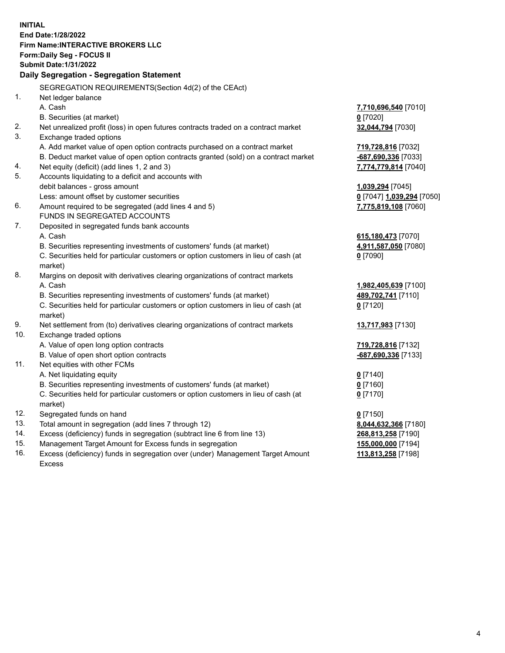**INITIAL End Date:1/28/2022 Firm Name:INTERACTIVE BROKERS LLC Form:Daily Seg - FOCUS II Submit Date:1/31/2022 Daily Segregation - Segregation Statement** SEGREGATION REQUIREMENTS(Section 4d(2) of the CEAct) 1. Net ledger balance A. Cash **7,710,696,540** [7010] B. Securities (at market) **0** [7020] 2. Net unrealized profit (loss) in open futures contracts traded on a contract market **32,044,794** [7030] 3. Exchange traded options A. Add market value of open option contracts purchased on a contract market **719,728,816** [7032] B. Deduct market value of open option contracts granted (sold) on a contract market **-687,690,336** [7033] 4. Net equity (deficit) (add lines 1, 2 and 3) **7,774,779,814** [7040] 5. Accounts liquidating to a deficit and accounts with debit balances - gross amount **1,039,294** [7045] Less: amount offset by customer securities **0** [7047] **1,039,294** [7050] 6. Amount required to be segregated (add lines 4 and 5) **7,775,819,108** [7060] FUNDS IN SEGREGATED ACCOUNTS 7. Deposited in segregated funds bank accounts A. Cash **615,180,473** [7070] B. Securities representing investments of customers' funds (at market) **4,911,587,050** [7080] C. Securities held for particular customers or option customers in lieu of cash (at market) **0** [7090] 8. Margins on deposit with derivatives clearing organizations of contract markets A. Cash **1,982,405,639** [7100] B. Securities representing investments of customers' funds (at market) **489,702,741** [7110] C. Securities held for particular customers or option customers in lieu of cash (at market) **0** [7120] 9. Net settlement from (to) derivatives clearing organizations of contract markets **13,717,983** [7130] 10. Exchange traded options A. Value of open long option contracts **719,728,816** [7132] B. Value of open short option contracts **-687,690,336** [7133] 11. Net equities with other FCMs A. Net liquidating equity **0** [7140] B. Securities representing investments of customers' funds (at market) **0** [7160] C. Securities held for particular customers or option customers in lieu of cash (at market) **0** [7170] 12. Segregated funds on hand **0** [7150] 13. Total amount in segregation (add lines 7 through 12) **8,044,632,366** [7180] 14. Excess (deficiency) funds in segregation (subtract line 6 from line 13) **268,813,258** [7190] 15. Management Target Amount for Excess funds in segregation **155,000,000** [7194]

16. Excess (deficiency) funds in segregation over (under) Management Target Amount Excess

**113,813,258** [7198]